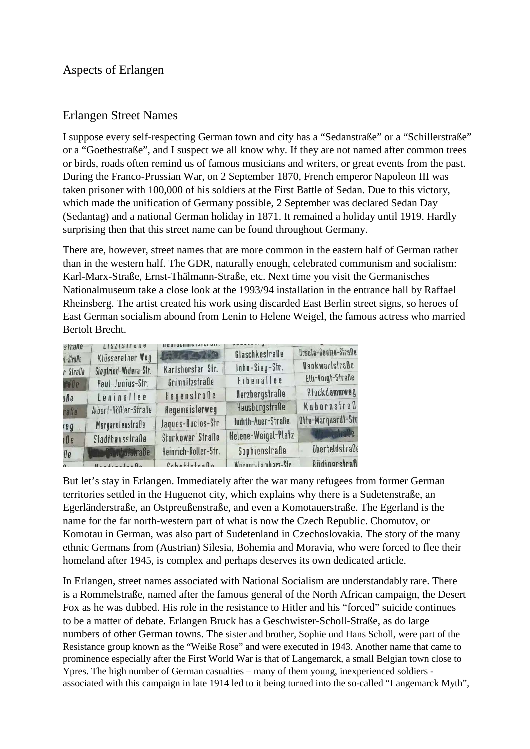## Aspects of Erlangen

## Erlangen Street Names

I suppose every self-respecting German town and city has a "Sedanstraße" or a "Schillerstraße" or a "Goethestraße", and I suspect we all know why. If they are not named after common trees or birds, roads often remind us of famous musicians and writers, or great events from the past. During the Franco-Prussian War, on 2 September 1870, French emperor Napoleon III was taken prisoner with 100,000 of his soldiers at the First Battle of Sedan. Due to this victory, which made the unification of Germany possible, 2 September was declared Sedan Day (Sedantag) and a national German holiday in 1871. It remained a holiday until 1919. Hardly surprising then that this street name can be found throughout Germany.

There are, however, street names that are more common in the eastern half of German rather than in the western half. The GDR, naturally enough, celebrated communism and socialism: Karl-Marx-Straße, Ernst-Thälmann-Straße, etc. Next time you visit the Germanisches Nationalmuseum take a close look at the 1993/94 installation in the entrance hall by Raffael Rheinsberg. The artist created his work using discarded East Berlin street signs, so heroes of East German socialism abound from Lenin to Helene Weigel, the famous actress who married Bertolt Brecht.

| strabe     | <b>LISZISIL q</b> n e        | <b><i><u>BRAISPHINGISION 411'</u></i></b> |                     |                       |
|------------|------------------------------|-------------------------------------------|---------------------|-----------------------|
| d-Stralle  | Klüsserather Weg             | <b>CONGRAND</b>                           | Glaschkestraße      | Ursula-Goetze-Strafle |
| r Straße   | Siegfried-Widera-Str.        | Karlshorster Str.                         | John-Sieg-Str.      | Dankwartstraße        |
| to De      | Paul-Junius-Str.             | Grimnitzstraße                            | Eibenallee          | Elli-Voigt-Straße     |
| a N e      | Leninallee                   | Hagenstraße                               | Herzbergstraße      | Blockdammweg          |
| rafle      | Albert-Hößler-Straße         | Hegemeisterweg                            | Hausburgstraße      | Kubornstraß           |
| reg        | Margaretenstraße             | Jaques-Duclos-Str.                        | Judith-Auer-Straße  | Otto-Marquardt-Str    |
| n D e      | Stadthausstraße              | Storkower Straße                          | Helene-Weigel-Platz | Webestraße            |
| <b>De</b>  | <b>William Palmbofstraße</b> | Heinrich-Roller-Str.                      | Sophienstraße       | Oberfeldstraße        |
| $\Omega$ . | HantingtonAn                 | Cohottetrafin                             | Wornor-Lamhorz-Str  | Rüdinerstraß          |

But let's stay in Erlangen. Immediately after the war many refugees from former German territories settled in the Huguenot city, which explains why there is a Sudetenstraße, an Egerländerstraße, an Ostpreußenstraße, and even a Komotauerstraße. The Egerland is the name for the far north-western part of what is now the Czech Republic. Chomutov, or Komotau in German, was also part of Sudetenland in Czechoslovakia. The story of the many ethnic Germans from (Austrian) Silesia, Bohemia and Moravia, who were forced to flee their homeland after 1945, is complex and perhaps deserves its own dedicated article.

In Erlangen, street names associated with National Socialism are understandably rare. There is a Rommelstraße, named after the famous general of the North African campaign, the Desert Fox as he was dubbed. His role in the resistance to Hitler and his "forced" suicide continues to be a matter of debate. Erlangen Bruck has a Geschwister-Scholl-Straße, as do large numbers of other German towns. The sister and brother, Sophie und Hans Scholl, were part of the Resistance group known as the "Weiße Rose" and were executed in 1943. Another name that came to prominence especially after the First World War is that of Langemarck, a small Belgian town close to Ypres. The high number of German casualties – many of them young, inexperienced soldiers associated with this campaign in late 1914 led to it being turned into the so-called "Langemarck Myth",